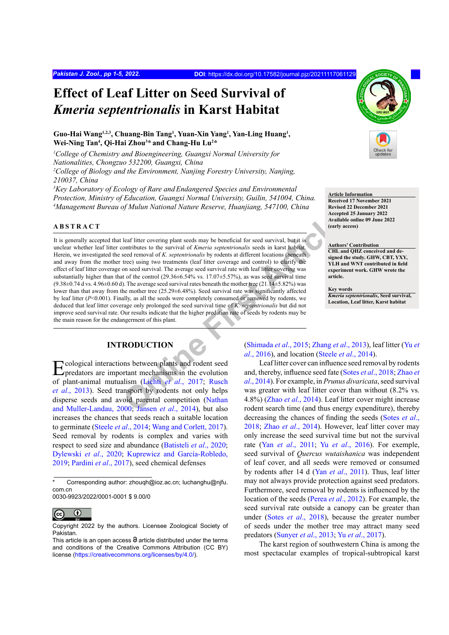# **Effect of Leaf Litter on Seed Survival of**  *Kmeria septentrionalis* **in Karst Habitat**

#### Guo-Hai Wang<sup>1,2,3</sup>, Chuang-Bin Tang<sup>1</sup>, Yuan-Xin Yang<sup>1</sup>, Yan-Ling Huang<sup>1</sup>, **Wei-Ning Tan4 , Qi-Hai Zhou3 \* and Chang-Hu Lu2 \***

*1 College of Chemistry and Bioengineering, Guangxi Normal University for Nationalities, Chongzuo 532200, Guangxi, China* <sup>2</sup> College of Biology and the Environment, Nanjing Forestry University, Nanjing, *210037, China*

<sup>3</sup>Key Laboratory of Ecology of Rare and Endangered Species and Environmental *Protection, Ministry of Education, Guangxi Normal University, Guilin, 541004, China. 4 Management Bureau of Mulun National Nature Reserve, Huanjiang, 547100, China*

#### **ABSTRACT**

**[O](#page-3-2)[nli](#page-3-0)ne First Article** It is generally accepted that leaf litter covering plant seeds may be beneficial for seed survival, but it is unclear whether leaf litter contributes to the survival of *Kmeria septentrionalis* seeds in karst habitat. Herein, we investigated the seed removal of *K. septentrionalis* by rodents at different locations (beneath and away from the mother tree) using two treatments (leaf litter coverage and control) to clarify the effect of leaf litter coverage on seed survival. The average seed survival rate with leaf litter covering was substantially higher than that of the control (29.36±6.54% vs. 17.07±5.57%), as was seed survival time  $(9.38\pm0.74 \text{ d vs. } 4.96\pm0.60 \text{ d})$ . The average seed survival rates beneath the mother tree  $(21.14\pm5.82\%)$  was lower than that away from the mother tree (25.29±6.48%). Seed survival rate was significantly affected by leaf litter (*P*<0.001). Finally, as all the seeds were completely consumed or removed by rodents, we deduced that leaf litter coverage only prolonged the seed survival time of *K. septentrionalis* but did not improve seed survival rate. Our results indicate that the higher predation rate of seeds by rodents may be the main reason for the endangerment of this plant.

## **INTRODUCTION**

Ecological interactions between plants and rodent seed predators are important mechanisms in the evolution of plant-animal mutualism (Lichti *et al*., 2017; Rusch *et al*[., 2013\)](#page-4-0). Seed transport by rodents not only helps disperse seeds and avoid parental competition (Nathan [and Muller-Landau, 2000](#page-3-1); Jansen *et al*., 2014), but also increases the chances that seeds reach a suitable location to germinate ([Steele](#page-4-1) *et al*., 2014; [Wang and Corlett, 2017](#page-4-2)). Seed removal by rodents is complex and varies with respect to seed size and abundance ([Batisteli](#page-3-3) *et al*., 2020; Dylewski *et al*., 2020; Kuprewicz and García-Robledo, 2019; [Pardini](#page-4-3) *et al*., 2017), seed chemical defenses

0030-9923/2022/0001-0001 \$ 9.00/0



Copyright 2022 by the authors. Licensee Zoological Society of Pakistan.



# **Article Information**

**Received 17 November 2021 Revised 22 December 2021 Accepted 25 January 2022 Available online 09 June 2022 (early access)**

#### **Authors' Contribution**

**CHL and QHZ conceived and designed the study. GHW, CBT, YXY, YLH and WNT contributed in field experiment work. GHW wrote the article.**

**Key words**

*Kmeria septentrionalis***, Seed survival, Location, Leaf litter, Karst habitat**

(Shimada *et al*., 2015; Zhang *et al*., 2013), leaf litter ([Yu](#page-4-6) *et al*., 2016), and location (Steele *et al*., 2014).

Leaf litter cover can influence seed removal by rodents and, thereby, influence seed fate (Sotes *et al*., 2018; [Zhao](#page-4-7) *et al*., 2014). For example, in *Prunus divaricata*, seed survival was greater with leaf litter cover than without (8.2% vs. 4.8%) (Zhao *et al*., 2014). Leaf litter cover might increase rodent search time (and thus energy expenditure), thereby decreasing the chances of finding the seeds (Sotes *et al*., 2018; Zhao *et al*[., 2014](#page-4-7)). However, leaf litter cover may only increase the seed survival time but not the survival rate (Yan *et al*[., 2011](#page-4-8); Yu *et al*[., 2016](#page-4-6)). For exemple, seed survival of *Quercus wutaishanica* was independent of leaf cover, and all seeds were removed or consumed by rodents after 14 d (Yan *et al*[., 2011\)](#page-4-8). Thus, leaf litter may not always provide protection against seed predators. Furthermore, seed removal by rodents is influenced by the location of the seeds (Perea *et al*., 2012). For example, the seed survival rate outside a canopy can be greater than under (Sotes *et al*., 2018), because the greater number of seeds under the mother tree may attract many seed predators (Sunyer *et al*., 2013; Yu *et al*[., 2017](#page-4-9)).

The karst region of southwestern China is among the most spectacular examples of tropical-subtropical karst

Corresponding author: zhouqh@ioz.ac.cn; luchanghu@njfu. com.cn

This article is an open access  $\Theta$  article distributed under the terms and conditions of the Creative Commons Attribution (CC BY) license (https://creativecommons.org/licenses/by/4.0/).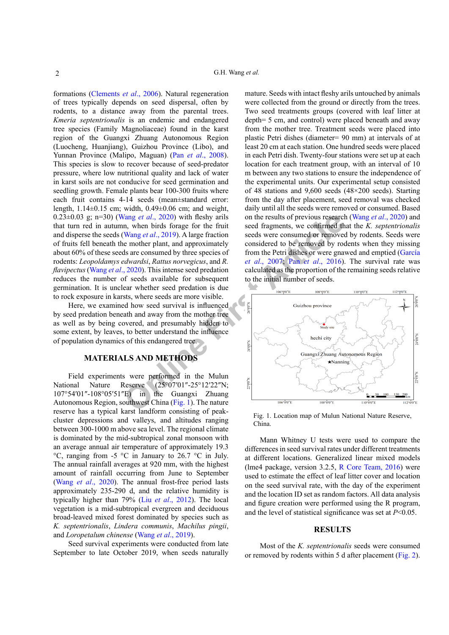formations [\(Clements](#page-3-4) *et al*., 2006). Natural regeneration of trees typically depends on seed dispersal, often by rodents, to a distance away from the parental trees. *Kmeria septentrionalis* is an endemic and endangered tree species (Family Magnoliaceae) found in the karst region of the Guangxi Zhuang Autonomous Region (Luocheng, Huanjiang), Guizhou Province (Libo), and Yunnan Province (Malipo, Maguan) (Pan *et al*[., 2008](#page-4-10)). This species is slow to recover because of seed-predator pressure, where low nutritional quality and lack of water in karst soils are not conducive for seed germination and seedling growth. Female plants bear 100-300 fruits where each fruit contains 4-14 seeds (mean±standard error: length, 1.14±0.15 cm; width, 0.49±0.06 cm; and weight, 0.23±0.03 g; n=30) (Wang *et al*., 2020) with fleshy arils that turn red in autumn, when birds forage for the fruit and disperse the seeds (Wang *et al*., 2019). A large fraction of fruits fell beneath the mother plant, and approximately about 60% of these seeds are consumed by three species of rodents: *Leopoldamys edwardsi*, *Rattus norvegicus*, and *R. flavipectus* (Wang *et al*., 2020). This intense seed predation reduces the number of seeds available for subsequent germination. It is unclear whether seed predation is due to rock exposure in karsts, where seeds are more visible.

Here, we examined how seed survival is influenced by seed predation beneath and away from the mother tree as well as by being covered, and presumably hidden to some extent, by leaves, to better understand the influence of population dynamics of this endangered tree.

#### **MATERIALS AND METHODS**

Field experiments were performed in the Mulun National Nature Reserve (25°07′01″-25°12′22″N; 107°54′01″-108°05′51″E) in the Guangxi Zhuang Autonomous Region, southwest China (Fig. 1). The nature reserve has a typical karst landform consisting of peakcluster depressions and valleys, and altitudes ranging between 300-1000 m above sea level. The regional climate is dominated by the mid-subtropical zonal monsoon with an average annual air temperature of approximately 19.3 °C, ranging from -5 °C in January to 26.7 °C in July. The annual rainfall averages at 920 mm, with the highest amount of rainfall occurring from June to September (Wang *et al*[., 2020](#page-4-11)). The annual frost-free period lasts approximately 235-290 d, and the relative humidity is typically higher than 79% (Liu *et al*[., 2012\)](#page-3-5). The local vegetation is a mid-subtropical evergreen and deciduous broad-leaved mixed forest dominated by species such as *K. septentrionalis*, *Lindera communis*, *Machilus pingii*, and *Loropetalum chinense* (Wang *et al*[., 2019\)](#page-4-12).

Seed survival experiments were conducted from late September to late October 2019, when seeds naturally

mature. Seeds with intact fleshy arils untouched by animals were collected from the ground or directly from the trees. Two seed treatments groups (covered with leaf litter at depth= 5 cm, and control) were placed beneath and away from the mother tree. Treatment seeds were placed into plastic Petri dishes (diameter= 90 mm) at intervals of at least 20 cm at each station. One hundred seeds were placed in each Petri dish. Twenty-four stations were set up at each location for each treatment group, with an interval of 10 m between any two stations to ensure the independence of the experimental units. Our experimental setup consisted of 48 stations and 9,600 seeds (48×200 seeds). Starting from the day after placement, seed removal was checked daily until all the seeds were removed or consumed. Based on the results of previous research (Wang *et al*[., 2020](#page-4-11)) and seed fragments, we confirmed that the *K. septentrionalis* seeds were consumed or removed by rodents. Seeds were considered to be removed by rodents when they missing from the Petri dishes or were gnawed and emptied (García *et al*., 2007; Pan *et al*., 2016). The survival rate was calculated as the proportion of the remaining seeds relative to the initial number of seeds.



<span id="page-1-0"></span>Fig. 1. Location map of Mulun National Nature Reserve, China.

Mann Whitney U tests were used to compare the differences in seed survival rates under different treatments at different locations. Generalized linear mixed models (lme4 package, version 3.2.5, [R Core Team, 2016\)](#page-4-14) were used to estimate the effect of leaf litter cover and location on the seed survival rate, with the day of the experiment and the location ID set as random factors. All data analysis and figure creation were performed using the R program, and the level of statistical significance was set at *P*<0.05.

#### **RESULTS**

Most of the *K. septentrionalis* seeds were consumed or removed by rodents within 5 d after placement [\(Fig. 2](#page-2-0)).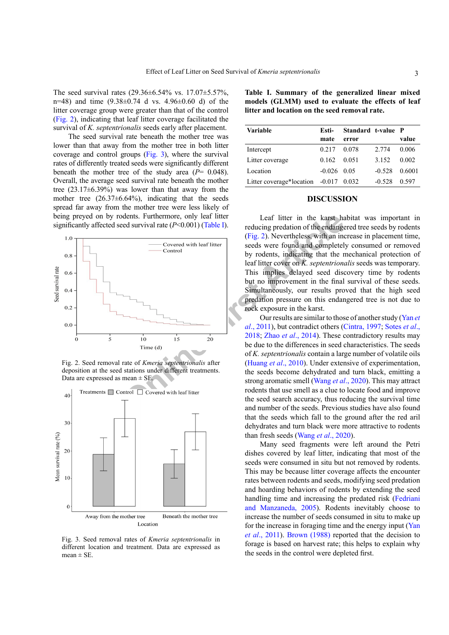The seed survival rates (29.36±6.54% vs. 17.07±5.57%, n=48) and time  $(9.38\pm0.74$  d vs. 4.96 $\pm$ 0.60 d) of the litter coverage group were greater than that of the control ([Fig. 2](#page-2-0)), indicating that leaf litter coverage facilitated the survival of *K. septentrionalis* seeds early after placement.

The seed survival rate beneath the mother tree was lower than that away from the mother tree in both litter coverage and control groups ([Fig. 3](#page-2-1)), where the survival rates of differently treated seeds were significantly different beneath the mother tree of the study area (*P*= 0.048). Overall, the average seed survival rate beneath the mother tree  $(23.17\pm6.39\%)$  was lower than that away from the mother tree  $(26.37\pm6.64\%)$ , indicating that the seeds spread far away from the mother tree were less likely of being preyed on by rodents. Furthermore, only leaf litter significantly affected seed survival rate (*P*<0.001) (Table I).



<span id="page-2-0"></span>Fig. 2. Seed removal rate of *Kmeria septentrionalis* after deposition at the seed stations under different treatments. Data are expressed as mean  $\pm$  SE.



<span id="page-2-1"></span>Fig. 3. Seed removal rates of *Kmeria septentrionalis* in different location and treatment. Data are expressed as mean  $\pm$  SE.

<span id="page-2-2"></span>**Table I. Summary of the generalized linear mixed models (GLMM) used to evaluate the effects of leaf litter and location on the seed removal rate.**

| <b>Variable</b>                         | Esti-         | Standard t-value P |          |        |
|-----------------------------------------|---------------|--------------------|----------|--------|
|                                         | mate          | error              |          | value  |
| Intercept                               | 0.217         | 0.078              | 2.774    | 0.006  |
| Litter coverage                         | 0.162         | 0.051              | 3.152    | 0.002  |
| Location                                | $-0.026$ 0.05 |                    | $-0.528$ | 0.6001 |
| Litter coverage*location $-0.017$ 0.032 |               |                    | $-0.528$ | 0.597  |

#### **DISCUSSION**

Leaf litter in the karst habitat was important in reducing predation of the endangered tree seeds by rodents (Fig. 2). Nevertheless, with an increase in placement time, seeds were found and completely consumed or removed by rodents, indicating that the mechanical protection of leaf litter cover on *K. septentrionalis* seeds was temporary. This implies delayed seed discovery time by rodents but no improvement in the final survival of these seeds. Simultaneously, our results proved that the high seed predation pressure on this endangered tree is not due to rock exposure in the karst.

Our results are similar to those of another study ([Yan](#page-4-8) *et al*., 2011), but contradict others ([Cintra, 1997](#page-3-6); Sotes *et al*., 2018; Zhao *et al*., 2014). These contradictory results may be due to the differences in seed characteristics. The seeds of *K. septentrionalis* contain a large number of volatile oils (Huang *et al*., 2010). Under extensive of experimentation, the seeds become dehydrated and turn black, emitting a strong aromatic smell (Wang *et al*., 2020). This may attract rodents that use smell as a clue to locate food and improve the seed search accuracy, thus reducing the survival time and number of the seeds. Previous studies have also found that the seeds which fall to the ground after the red aril dehydrates and turn black were more attractive to rodents than fresh seeds (Wang *et al*[., 2020](#page-4-11)).

Many seed fragments were left around the Petri dishes covered by leaf litter, indicating that most of the seeds were consumed in situ but not removed by rodents. This may be because litter coverage affects the encounter rates between rodents and seeds, modifying seed predation and hoarding behaviors of rodents by extending the seed handling time and increasing the predated risk ([Fedriani](#page-3-8) [and Manzaneda, 2005\)](#page-3-8). Rodents inevitably choose to increase the number of seeds consumed in situ to make up for the increase in foraging time and the energy input ([Yan](#page-4-8) *et al*[., 2011](#page-4-8)). [Brown \(1988\)](#page-3-3) reported that the decision to forage is based on harvest rate; this helps to explain why the seeds in the control were depleted first.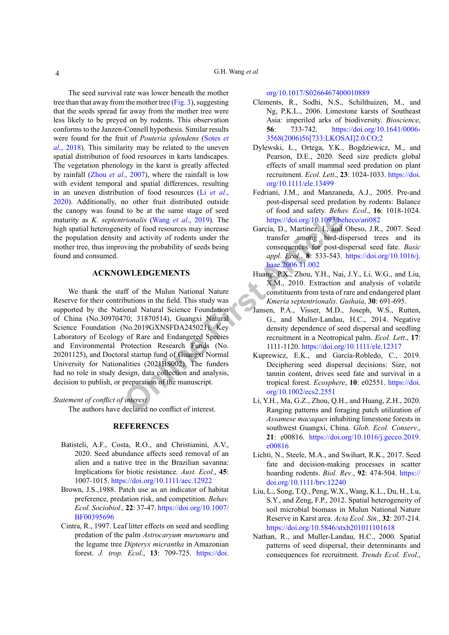The seed survival rate was lower beneath the mother tree than that away from the mother tree ([Fig. 3](#page-2-1)), suggesting that the seeds spread far away from the mother tree were less likely to be preyed on by rodents. This observation conforms to the Janzen-Connell hypothesis. Similar results were found for the fruit of *Pouteria splendens* (Sotes *et al*., 2018). This similarity may be related to the uneven spatial distribution of food resources in karts landscapes. The vegetation phenology in the karst is greatly affected by rainfall (Zhou *et al*[., 2007](#page-4-15)), where the rainfall is low with evident temporal and spatial differences, resulting in an uneven distribution of food resources (Li *[et al](#page-3-9)*., [2020\)](#page-3-9). Additionally, no other fruit distributed outside the canopy was found to be at the same stage of seed maturity as *K. septentrionalis* (Wang *et al*., 2019). The high spatial heterogeneity of food resources may increase

## the population density and activity of rodents under the mother tree, thus improving the probability of seeds being found and consumed.

### **ACKNOWLEDGEMENTS**

**Online First [Art](https://doi.org/10.1016/j.baae.2006.11.002)icle** We thank the staff of the Mulun National Nature Reserve for their contributions in the field. This study was supported by the National Natural Science Foundation of China (No.30970470; 31870514), Guangxi Natural Science Foundation (No.2019GXNSFDA245021), Key Laboratory of Ecology of Rare and Endangered Species and Environmental Protection Research Funds (No. 20201125), and Doctoral startup fund of Guangxi Normal University for Nationalities (2021BS002). The funders had no role in study design, data collection and analysis, decision to publish, or preparation of the manuscript.

*Statement of conflict of interest*

The authors have declared no conflict of interest.

#### **REFERENCES**

- <span id="page-3-3"></span>Batisteli, A.F., Costa, R.O., and Christianini, A.V., 2020. Seed abundance affects seed removal of an alien and a native tree in the Brazilian savanna: Implications for biotic resistance. *Aust. Ecol*., **45**: 1007-1015.<https://doi.org/10.1111/aec.12922>
- Brown, J.S.,1988. Patch use as an indicator of habitat preference, predation risk, and competition. *Behav. Ecol. Sociobiol.,* **22**: 37-47. https://doi.org/10.1007/ BF00395696
- <span id="page-3-6"></span>Cintra, R., 1997. Leaf litter effects on seed and seedling predation of the palm *Astrocaryum murumuru* and the legume tree *Dipteryx micrantha* in Amazonian forest. *J. trop. Ecol*., **13**: 709-725. [https://doi.](https://doi.org/10.1017/S0266467400010889)

[org/10.1017/S0266467400010889](https://doi.org/10.1017/S0266467400010889)

- <span id="page-3-4"></span>Clements, R., Sodhi, N.S., Schilthuizen, M., and Ng, P.K.L., 2006. Limestone karsts of Southeast Asia: imperiled arks of biodiversity. *Bioscience*, **56**: 733-742. [https://doi.org/10.1641/0006-](https://doi.org/10.1641/0006-3568(2006)56%5b733:LKOSAI%5d2.0.CO;2) [3568\(2006\)56\[733:LKOSAI\]2.0.CO;2](https://doi.org/10.1641/0006-3568(2006)56%5b733:LKOSAI%5d2.0.CO;2)
- Dylewski, Ł., Ortega, Y.K., Bogdziewicz, M., and Pearson, D.E., 2020. Seed size predicts global effects of small mammal seed predation on plant recruitment. *Ecol. Lett*., **23**: 1024-1033. [https://doi.](https://doi.org/10.1111/ele.13499) [org/10.1111/ele.13499](https://doi.org/10.1111/ele.13499)
- <span id="page-3-8"></span>Fedriani, J.M., and Manzaneda, A.J., 2005. Pre-and post-dispersal seed predation by rodents: Balance of food and safety. *Behav. Ecol*., **16**: 1018-1024. <https://doi.org/10.1093/beheco/ari082>
- García, D., Martínez, I., and Obeso, J.R., 2007. Seed transfer among bird-dispersed trees and its consequences for post-dispersal seed fate. *Basic appl. Ecol*., **8**: 533-543. [https://doi.org/10.1016/j.](https://doi.org/10.1016/j.baae.2006.11.002) baae.2006.11.002
- <span id="page-3-7"></span>Huang, P.X., Zhou, Y.H., Nai, J.Y., Li, W.G., and Liu, X.M., 2010. Extraction and analysis of volatile constituents from testa of rare and endangered plant *Kmeria septentrionalis*. *Guihaia*, **30**: 691-695.
- <span id="page-3-2"></span>Jansen, P.A., Visser, M.D., Joseph, W.S., Rutten, G., and Muller-Landau, H.C., 2014. Negative density dependence of seed dispersal and seedling recruitment in a Neotropical palm. *Ecol. Lett*., **17**: 1111-1120.<https://doi.org/10.1111/ele.12317>
- Kuprewicz, E.K., and García-Robledo, C., 2019. Deciphering seed dispersal decisions: Size, not tannin content, drives seed fate and survival in a tropical forest. *Ecosphere*, **10**: e02551. [https://doi.](https://doi.org/10.1002/ecs2.2551) org/10.1002/ecs2.2551
- <span id="page-3-9"></span>Li, Y.H., Ma, G.Z., Zhou, Q.H., and Huang, Z.H., 2020. Ranging patterns and foraging patch utilization of *Assamese macaques* inhabiting limestone forests in southwest Guangxi, China. *Glob. Ecol. Conserv*., **21**: e00816. [https://doi.org/10.1016/j.gecco.2019.](https://doi.org/10.1016/j.gecco.2019.e00816) [e00816](https://doi.org/10.1016/j.gecco.2019.e00816)
- <span id="page-3-0"></span>Lichti, N., Steele, M.A., and Swihart, R.K., 2017. Seed fate and decision-making processes in scatter hoarding rodents. *Biol. Rev*., **92**: 474-504. [https://](https://doi.org/10.1111/brv.12240) [doi.org/10.1111/brv.12240](https://doi.org/10.1111/brv.12240)
- <span id="page-3-5"></span>Liu, L., Song, T.Q., Peng, W.X., Wang, K.L., Du, H., Lu, S.Y., and Zeng, F.P., 2012. Spatial heterogeneity of soil microbial biomass in Mulun National Nature Reserve in Karst area. *Acta Ecol. Sin*., **32**: 207-214. <https://doi.org/10.5846/stxb201011101618>
- <span id="page-3-1"></span>Nathan, R., and Muller-Landau, H.C., 2000. Spatial patterns of seed dispersal, their determinants and consequences for recruitment. *Trends Ecol. Evol*.,